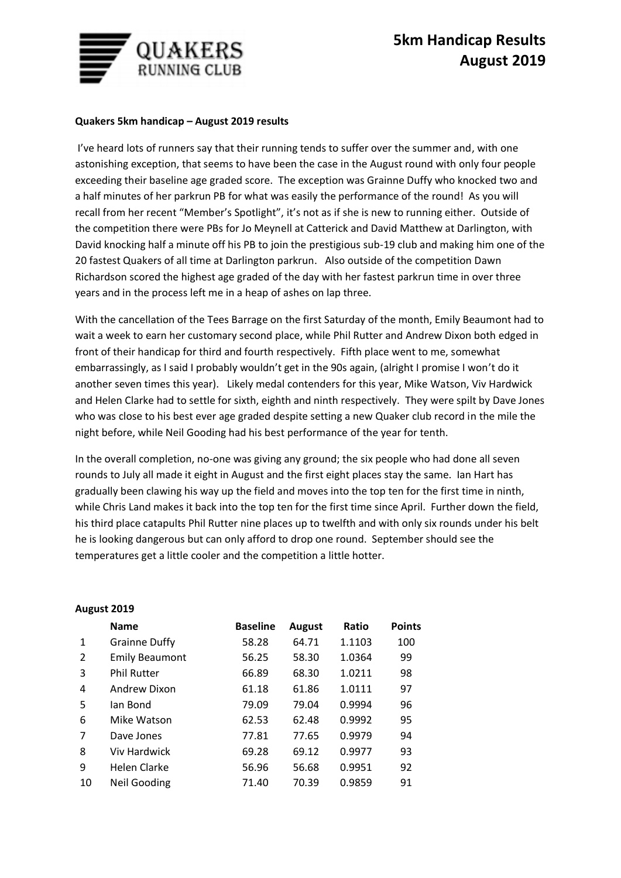

## **Quakers 5km handicap – August 2019 results**

I've heard lots of runners say that their running tends to suffer over the summer and, with one astonishing exception, that seems to have been the case in the August round with only four people exceeding their baseline age graded score. The exception was Grainne Duffy who knocked two and a half minutes of her parkrun PB for what was easily the performance of the round! As you will recall from her recent "Member's Spotlight", it's not as if she is new to running either. Outside of the competition there were PBs for Jo Meynell at Catterick and David Matthew at Darlington, with David knocking half a minute off his PB to join the prestigious sub-19 club and making him one of the 20 fastest Quakers of all time at Darlington parkrun. Also outside of the competition Dawn Richardson scored the highest age graded of the day with her fastest parkrun time in over three years and in the process left me in a heap of ashes on lap three.

With the cancellation of the Tees Barrage on the first Saturday of the month, Emily Beaumont had to wait a week to earn her customary second place, while Phil Rutter and Andrew Dixon both edged in front of their handicap for third and fourth respectively. Fifth place went to me, somewhat embarrassingly, as I said I probably wouldn't get in the 90s again, (alright I promise I won't do it another seven times this year). Likely medal contenders for this year, Mike Watson, Viv Hardwick and Helen Clarke had to settle for sixth, eighth and ninth respectively. They were spilt by Dave Jones who was close to his best ever age graded despite setting a new Quaker club record in the mile the night before, while Neil Gooding had his best performance of the year for tenth.

In the overall completion, no-one was giving any ground; the six people who had done all seven rounds to July all made it eight in August and the first eight places stay the same. Ian Hart has gradually been clawing his way up the field and moves into the top ten for the first time in ninth, while Chris Land makes it back into the top ten for the first time since April. Further down the field, his third place catapults Phil Rutter nine places up to twelfth and with only six rounds under his belt he is looking dangerous but can only afford to drop one round. September should see the temperatures get a little cooler and the competition a little hotter.

|    | <b>Name</b>           | <b>Baseline</b> | <b>August</b> | Ratio  | <b>Points</b> |
|----|-----------------------|-----------------|---------------|--------|---------------|
| 1  | <b>Grainne Duffy</b>  | 58.28           | 64.71         | 1.1103 | 100           |
| 2  | <b>Emily Beaumont</b> | 56.25           | 58.30         | 1.0364 | 99            |
| 3  | <b>Phil Rutter</b>    | 66.89           | 68.30         | 1.0211 | 98            |
| 4  | Andrew Dixon          | 61.18           | 61.86         | 1.0111 | 97            |
| 5  | lan Bond              | 79.09           | 79.04         | 0.9994 | 96            |
| 6  | Mike Watson           | 62.53           | 62.48         | 0.9992 | 95            |
| 7  | Dave Jones            | 77.81           | 77.65         | 0.9979 | 94            |
| 8  | <b>Viv Hardwick</b>   | 69.28           | 69.12         | 0.9977 | 93            |
| 9  | <b>Helen Clarke</b>   | 56.96           | 56.68         | 0.9951 | 92            |
| 10 | Neil Gooding          | 71.40           | 70.39         | 0.9859 | 91            |

## **August 2019**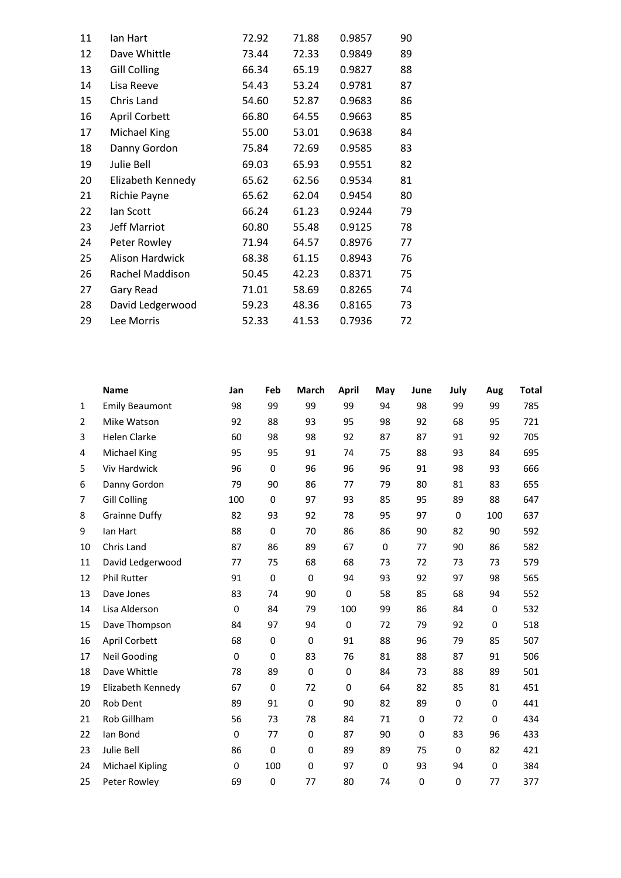| 11 | lan Hart             | 72.92 | 71.88 | 0.9857 | 90 |
|----|----------------------|-------|-------|--------|----|
| 12 | Dave Whittle         | 73.44 | 72.33 | 0.9849 | 89 |
| 13 | <b>Gill Colling</b>  | 66.34 | 65.19 | 0.9827 | 88 |
| 14 | Lisa Reeve           | 54.43 | 53.24 | 0.9781 | 87 |
| 15 | Chris Land           | 54.60 | 52.87 | 0.9683 | 86 |
| 16 | <b>April Corbett</b> | 66.80 | 64.55 | 0.9663 | 85 |
| 17 | Michael King         | 55.00 | 53.01 | 0.9638 | 84 |
| 18 | Danny Gordon         | 75.84 | 72.69 | 0.9585 | 83 |
| 19 | Julie Bell           | 69.03 | 65.93 | 0.9551 | 82 |
| 20 | Elizabeth Kennedy    | 65.62 | 62.56 | 0.9534 | 81 |
| 21 | Richie Payne         | 65.62 | 62.04 | 0.9454 | 80 |
| 22 | lan Scott            | 66.24 | 61.23 | 0.9244 | 79 |
| 23 | Jeff Marriot         | 60.80 | 55.48 | 0.9125 | 78 |
| 24 | Peter Rowley         | 71.94 | 64.57 | 0.8976 | 77 |
| 25 | Alison Hardwick      | 68.38 | 61.15 | 0.8943 | 76 |
| 26 | Rachel Maddison      | 50.45 | 42.23 | 0.8371 | 75 |
| 27 | Gary Read            | 71.01 | 58.69 | 0.8265 | 74 |
| 28 | David Ledgerwood     | 59.23 | 48.36 | 0.8165 | 73 |
| 29 | Lee Morris           | 52.33 | 41.53 | 0.7936 | 72 |
|    |                      |       |       |        |    |

|                | <b>Name</b>            | Jan         | Feb         | March       | <b>April</b> | May         | June | July        | Aug | Total |
|----------------|------------------------|-------------|-------------|-------------|--------------|-------------|------|-------------|-----|-------|
| $\mathbf{1}$   | <b>Emily Beaumont</b>  | 98          | 99          | 99          | 99           | 94          | 98   | 99          | 99  | 785   |
| $\overline{2}$ | Mike Watson            | 92          | 88          | 93          | 95           | 98          | 92   | 68          | 95  | 721   |
| 3              | <b>Helen Clarke</b>    | 60          | 98          | 98          | 92           | 87          | 87   | 91          | 92  | 705   |
| 4              | <b>Michael King</b>    | 95          | 95          | 91          | 74           | 75          | 88   | 93          | 84  | 695   |
| 5              | Viv Hardwick           | 96          | $\mathbf 0$ | 96          | 96           | 96          | 91   | 98          | 93  | 666   |
| 6              | Danny Gordon           | 79          | 90          | 86          | 77           | 79          | 80   | 81          | 83  | 655   |
| 7              | <b>Gill Colling</b>    | 100         | $\mathbf 0$ | 97          | 93           | 85          | 95   | 89          | 88  | 647   |
| 8              | <b>Grainne Duffy</b>   | 82          | 93          | 92          | 78           | 95          | 97   | $\mathbf 0$ | 100 | 637   |
| 9              | lan Hart               | 88          | $\mathbf 0$ | 70          | 86           | 86          | 90   | 82          | 90  | 592   |
| 10             | Chris Land             | 87          | 86          | 89          | 67           | 0           | 77   | 90          | 86  | 582   |
| 11             | David Ledgerwood       | 77          | 75          | 68          | 68           | 73          | 72   | 73          | 73  | 579   |
| 12             | <b>Phil Rutter</b>     | 91          | $\mathbf 0$ | $\mathbf 0$ | 94           | 93          | 92   | 97          | 98  | 565   |
| 13             | Dave Jones             | 83          | 74          | 90          | $\mathbf 0$  | 58          | 85   | 68          | 94  | 552   |
| 14             | Lisa Alderson          | $\mathbf 0$ | 84          | 79          | 100          | 99          | 86   | 84          | 0   | 532   |
| 15             | Dave Thompson          | 84          | 97          | 94          | $\mathbf 0$  | 72          | 79   | 92          | 0   | 518   |
| 16             | April Corbett          | 68          | $\mathbf 0$ | $\mathbf 0$ | 91           | 88          | 96   | 79          | 85  | 507   |
| 17             | <b>Neil Gooding</b>    | $\mathbf 0$ | $\mathbf 0$ | 83          | 76           | 81          | 88   | 87          | 91  | 506   |
| 18             | Dave Whittle           | 78          | 89          | $\mathbf 0$ | $\mathbf 0$  | 84          | 73   | 88          | 89  | 501   |
| 19             | Elizabeth Kennedy      | 67          | $\mathbf 0$ | 72          | $\mathbf 0$  | 64          | 82   | 85          | 81  | 451   |
| 20             | Rob Dent               | 89          | 91          | $\mathbf 0$ | 90           | 82          | 89   | 0           | 0   | 441   |
| 21             | Rob Gillham            | 56          | 73          | 78          | 84           | 71          | 0    | 72          | 0   | 434   |
| 22             | lan Bond               | 0           | 77          | 0           | 87           | 90          | 0    | 83          | 96  | 433   |
| 23             | Julie Bell             | 86          | $\mathbf 0$ | $\mathbf 0$ | 89           | 89          | 75   | $\mathbf 0$ | 82  | 421   |
| 24             | <b>Michael Kipling</b> | $\mathbf 0$ | 100         | $\mathbf 0$ | 97           | $\mathbf 0$ | 93   | 94          | 0   | 384   |
| 25             | Peter Rowley           | 69          | 0           | 77          | 80           | 74          | 0    | $\mathbf 0$ | 77  | 377   |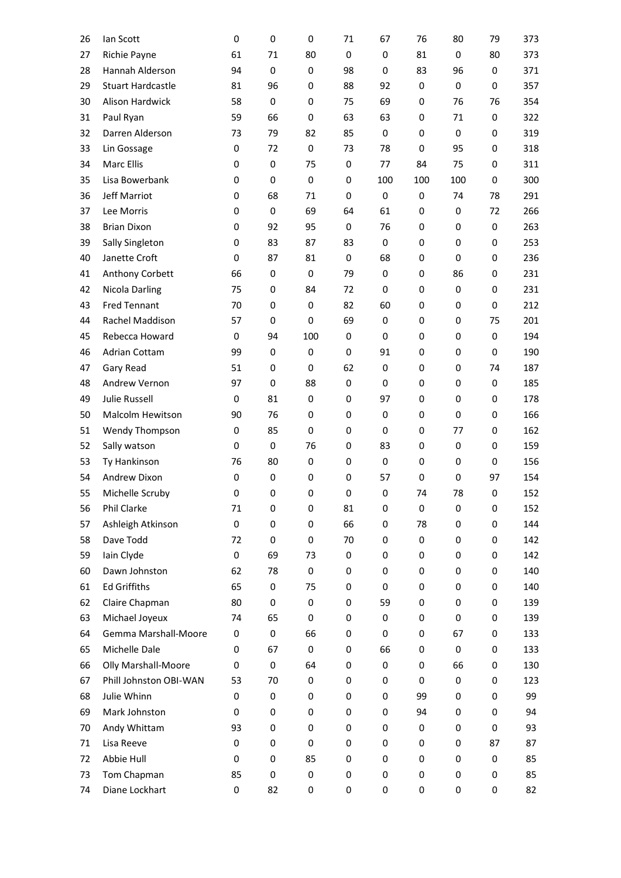| 26 | lan Scott                | 0                | 0           | 0           | 71          | 67          | 76  | 80          | 79          | 373 |
|----|--------------------------|------------------|-------------|-------------|-------------|-------------|-----|-------------|-------------|-----|
| 27 | Richie Payne             | 61               | 71          | 80          | $\mathbf 0$ | $\mathbf 0$ | 81  | $\mathbf 0$ | 80          | 373 |
| 28 | Hannah Alderson          | 94               | 0           | 0           | 98          | 0           | 83  | 96          | 0           | 371 |
| 29 | <b>Stuart Hardcastle</b> | 81               | 96          | $\mathbf 0$ | 88          | 92          | 0   | $\mathbf 0$ | 0           | 357 |
| 30 | Alison Hardwick          | 58               | $\mathbf 0$ | $\mathbf 0$ | 75          | 69          | 0   | 76          | 76          | 354 |
| 31 | Paul Ryan                | 59               | 66          | $\mathbf 0$ | 63          | 63          | 0   | 71          | $\mathbf 0$ | 322 |
| 32 | Darren Alderson          | 73               | 79          | 82          | 85          | 0           | 0   | 0           | 0           | 319 |
| 33 | Lin Gossage              | $\mathbf 0$      | 72          | $\mathbf 0$ | 73          | 78          | 0   | 95          | 0           | 318 |
| 34 | Marc Ellis               | 0                | 0           | 75          | 0           | 77          | 84  | 75          | 0           | 311 |
| 35 | Lisa Bowerbank           | $\mathbf 0$      | $\mathbf 0$ | $\mathbf 0$ | $\mathbf 0$ | 100         | 100 | 100         | 0           | 300 |
| 36 | Jeff Marriot             | 0                | 68          | 71          | 0           | $\bf{0}$    | 0   | 74          | 78          | 291 |
| 37 | Lee Morris               | $\mathbf 0$      | $\mathbf 0$ | 69          | 64          | 61          | 0   | $\mathbf 0$ | 72          | 266 |
| 38 | <b>Brian Dixon</b>       | 0                | 92          | 95          | $\mathbf 0$ | 76          | 0   | 0           | 0           | 263 |
| 39 | Sally Singleton          | $\mathbf 0$      | 83          | 87          | 83          | $\mathbf 0$ | 0   | $\mathbf 0$ | 0           | 253 |
| 40 | Janette Croft            | 0                | 87          | 81          | 0           | 68          | 0   | 0           | 0           | 236 |
| 41 | Anthony Corbett          | 66               | 0           | $\mathbf 0$ | 79          | 0           | 0   | 86          | 0           | 231 |
| 42 | Nicola Darling           | 75               | 0           | 84          | 72          | 0           | 0   | 0           | 0           | 231 |
| 43 | <b>Fred Tennant</b>      | 70               | $\mathbf 0$ | $\mathbf 0$ | 82          | 60          | 0   | 0           | $\pmb{0}$   | 212 |
| 44 | Rachel Maddison          | 57               | 0           | 0           | 69          | 0           | 0   | 0           | 75          | 201 |
| 45 | Rebecca Howard           | $\mathbf 0$      | 94          | 100         | $\mathbf 0$ | $\mathbf 0$ | 0   | $\mathbf 0$ | $\mathbf 0$ | 194 |
| 46 | Adrian Cottam            | 99               | 0           | $\mathbf 0$ | 0           | 91          | 0   | 0           | 0           | 190 |
| 47 | Gary Read                | 51               | 0           | $\mathbf 0$ | 62          | $\mathbf 0$ | 0   | $\mathbf 0$ | 74          | 187 |
| 48 | Andrew Vernon            | 97               | 0           | 88          | $\mathbf 0$ | 0           | 0   | 0           | 0           | 185 |
| 49 | Julie Russell            | $\mathbf 0$      | 81          | $\mathbf 0$ | $\mathbf 0$ | 97          | 0   | $\mathbf 0$ | 0           | 178 |
| 50 | Malcolm Hewitson         | 90               | 76          | 0           | 0           | 0           | 0   | 0           | 0           | 166 |
| 51 | Wendy Thompson           | $\mathbf 0$      | 85          | $\mathbf 0$ | $\mathbf 0$ | 0           | 0   | 77          | 0           | 162 |
| 52 | Sally watson             | 0                | 0           | 76          | 0           | 83          | 0   | 0           | 0           | 159 |
| 53 | Ty Hankinson             | 76               | 80          | 0           | $\mathbf 0$ | 0           | 0   | 0           | 0           | 156 |
| 54 | Andrew Dixon             | 0                | 0           | 0           | 0           | 57          | 0   | 0           | 97          | 154 |
| 55 | Michelle Scruby          | $\mathbf 0$      | $\mathbf 0$ | 0           | $\mathbf 0$ | 0           | 74  | 78          | 0           | 152 |
| 56 | Phil Clarke              | 71               | 0           | 0           | 81          | 0           | 0   | 0           | 0           | 152 |
| 57 | Ashleigh Atkinson        | $\boldsymbol{0}$ | 0           | 0           | 66          | 0           | 78  | 0           | 0           | 144 |
| 58 | Dave Todd                | 72               | 0           | 0           | 70          | 0           | 0   | 0           | 0           | 142 |
| 59 | Iain Clyde               | $\boldsymbol{0}$ | 69          | 73          | 0           | 0           | 0   | 0           | 0           | 142 |
| 60 | Dawn Johnston            | 62               | 78          | 0           | 0           | 0           | 0   | 0           | 0           | 140 |
| 61 | <b>Ed Griffiths</b>      | 65               | 0           | 75          | 0           | $\mathbf 0$ | 0   | 0           | 0           | 140 |
| 62 | Claire Chapman           | 80               | 0           | 0           | 0           | 59          | 0   | 0           | 0           | 139 |
| 63 | Michael Joyeux           | 74               | 65          | 0           | 0           | 0           | 0   | 0           | 0           | 139 |
| 64 | Gemma Marshall-Moore     | 0                | 0           | 66          | 0           | $\mathbf 0$ | 0   | 67          | 0           | 133 |
| 65 | Michelle Dale            | $\mathbf 0$      | 67          | 0           | 0           | 66          | 0   | 0           | 0           | 133 |
| 66 | Olly Marshall-Moore      | $\mathbf 0$      | 0           | 64          | 0           | 0           | 0   | 66          | 0           | 130 |
| 67 | Phill Johnston OBI-WAN   | 53               | 70          | 0           | 0           | 0           | 0   | 0           | 0           | 123 |
| 68 | Julie Whinn              | 0                | 0           | 0           | 0           | 0           | 99  | 0           | 0           | 99  |
| 69 | Mark Johnston            | $\mathbf 0$      | 0           | 0           | 0           | 0           | 94  | 0           | 0           | 94  |
| 70 | Andy Whittam             | 93               | 0           | 0           | 0           | 0           | 0   | 0           | 0           | 93  |
| 71 | Lisa Reeve               | 0                | 0           | 0           | 0           | 0           | 0   | 0           | 87          | 87  |
| 72 | Abbie Hull               | 0                | 0           | 85          | 0           | 0           | 0   | 0           | 0           | 85  |
| 73 | Tom Chapman              | 85               | 0           | 0           | 0           | 0           | 0   | 0           | 0           | 85  |
| 74 | Diane Lockhart           | 0                | 82          | 0           | 0           | 0           | 0   | 0           | 0           | 82  |